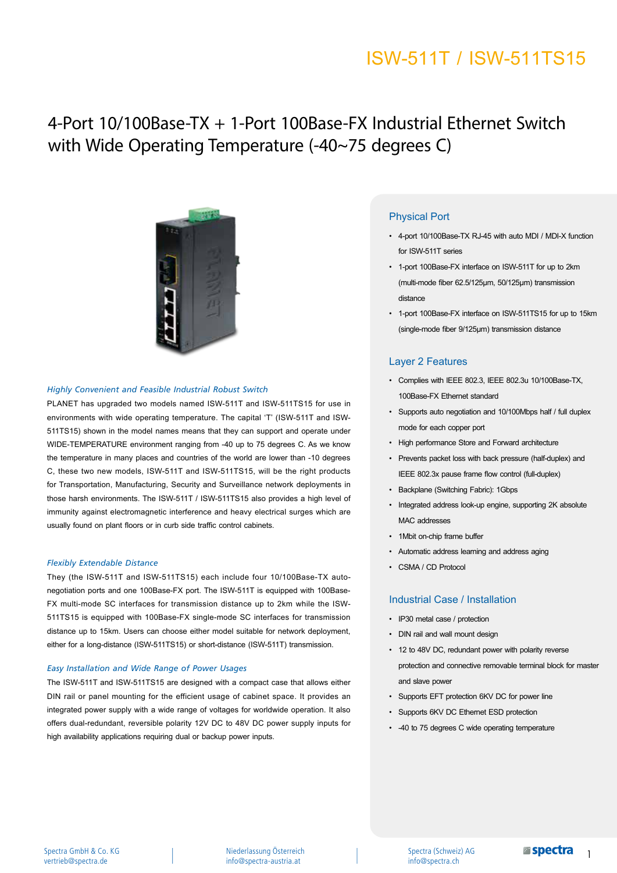# ISW-511T / ISW-511TS15

# 4-Port 10/100Base-TX + 1-Port 100Base-FX Industrial Ethernet Switch with Wide Operating Temperature (-40~75 degrees C)



#### *Highly Convenient and Feasible Industrial Robust Switch*

PLANET has upgraded two models named ISW-511T and ISW-511TS15 for use in environments with wide operating temperature. The capital 'T' (ISW-511T and ISW-511TS15) shown in the model names means that they can support and operate under WIDE-TEMPERATURE environment ranging from -40 up to 75 degrees C. As we know the temperature in many places and countries of the world are lower than -10 degrees C, these two new models, ISW-511T and ISW-511TS15, will be the right products for Transportation, Manufacturing, Security and Surveillance network deployments in those harsh environments. The ISW-511T / ISW-511TS15 also provides a high level of immunity against electromagnetic interference and heavy electrical surges which are usually found on plant floors or in curb side traffic control cabinets.

#### *Flexibly Extendable Distance*

They (the ISW-511T and ISW-511TS15) each include four 10/100Base-TX autonegotiation ports and one 100Base-FX port. The ISW-511T is equipped with 100Base-FX multi-mode SC interfaces for transmission distance up to 2km while the ISW-511TS15 is equipped with 100Base-FX single-mode SC interfaces for transmission distance up to 15km. Users can choose either model suitable for network deployment, either for a long-distance (ISW-511TS15) or short-distance (ISW-511T) transmission.

#### *Easy Installation and Wide Range of Power Usages*

The ISW-511T and ISW-511TS15 are designed with a compact case that allows either DIN rail or panel mounting for the efficient usage of cabinet space. It provides an integrated power supply with a wide range of voltages for worldwide operation. It also offers dual-redundant, reversible polarity 12V DC to 48V DC power supply inputs for high availability applications requiring dual or backup power inputs.

### Physical Port

- 4-port 10/100Base-TX RJ-45 with auto MDI / MDI-X function for ISW-511T series
- 1-port 100Base-FX interface on ISW-511T for up to 2km (multi-mode fiber 62.5/125μm, 50/125µm) transmission distance
- 1-port 100Base-FX interface on ISW-511TS15 for up to 15km (single-mode fiber 9/125µm) transmission distance

### Layer 2 Features

- Complies with IEEE 802.3, IEEE 802.3u 10/100Base-TX, 100Base-FX Ethernet standard
- Supports auto negotiation and 10/100Mbps half / full duplex mode for each copper port
- High performance Store and Forward architecture
- Prevents packet loss with back pressure (half-duplex) and IEEE 802.3x pause frame flow control (full-duplex)
- Backplane (Switching Fabric): 1Gbps
- Integrated address look-up engine, supporting 2K absolute MAC addresses
- 1Mbit on-chip frame buffer
- Automatic address learning and address aging
- CSMA / CD Protocol

### Industrial Case / Installation

- IP30 metal case / protection
- DIN rail and wall mount design
- 12 to 48V DC, redundant power with polarity reverse protection and connective removable terminal block for master and slave power
- Supports EFT protection 6KV DC for power line
- Supports 6KV DC Ethernet ESD protection
- -40 to 75 degrees C wide operating temperature

Niederlassung Österreich info@spectra-austria.at

Spectra (Schweiz) AG info@spectra.ch

1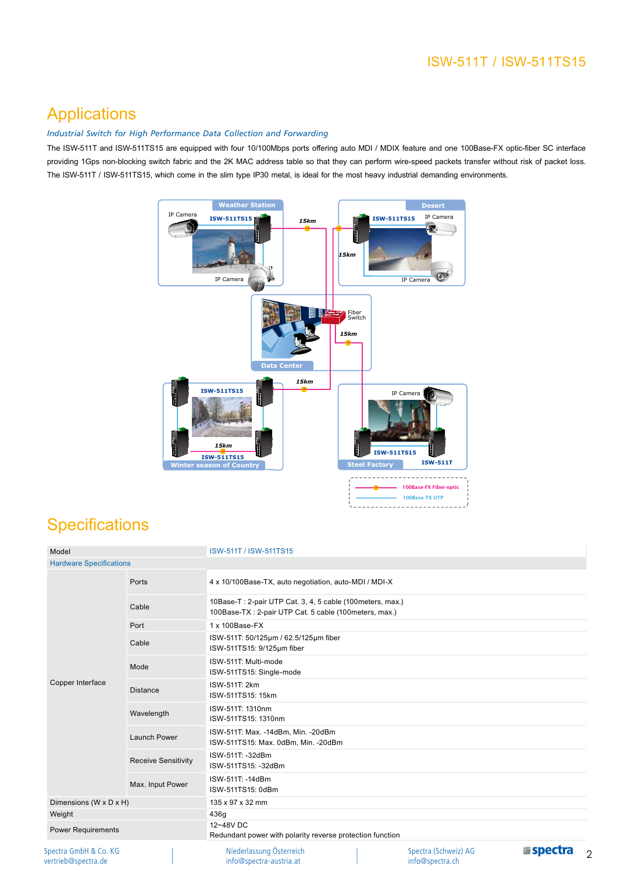## ISW-511T / ISW-511TS15

## Applications

### *Industrial Switch for High Performance Data Collection and Forwarding*

The ISW-511T and ISW-511TS15 are equipped with four 10/100Mbps ports offering auto MDI / MDIX feature and one 100Base-FX optic-fiber SC interface providing 1Gps non-blocking switch fabric and the 2K MAC address table so that they can perform wire-speed packets transfer without risk of packet loss. The ISW-511T / ISW-511TS15, which come in the slim type IP30 metal, is ideal for the most heavy industrial demanding environments.



## **Specifications**

| Model                                        |                            | ISW-511T / ISW-511TS15                                                                                                             |
|----------------------------------------------|----------------------------|------------------------------------------------------------------------------------------------------------------------------------|
| <b>Hardware Specifications</b>               |                            |                                                                                                                                    |
| Copper Interface                             | Ports                      | 4 x 10/100Base-TX, auto negotiation, auto-MDI / MDI-X                                                                              |
|                                              | Cable                      | 10Base-T: 2-pair UTP Cat. 3, 4, 5 cable (100meters, max.)<br>100Base-TX: 2-pair UTP Cat. 5 cable (100meters, max.)                 |
|                                              | Port                       | 1 x 100Base-FX                                                                                                                     |
|                                              | Cable                      | ISW-511T: 50/125µm / 62.5/125µm fiber<br>ISW-511TS15: 9/125um fiber                                                                |
|                                              | Mode                       | ISW-511T: Multi-mode<br>ISW-511TS15: Single-mode                                                                                   |
|                                              | <b>Distance</b>            | ISW-511T: 2km<br>ISW-511TS15: 15km                                                                                                 |
|                                              | Wavelength                 | ISW-511T: 1310nm<br>ISW-511TS15: 1310nm                                                                                            |
|                                              | Launch Power               | ISW-511T: Max. -14dBm, Min. -20dBm<br>ISW-511TS15: Max. 0dBm, Min. -20dBm                                                          |
|                                              | <b>Receive Sensitivity</b> | ISW-511T: -32dBm<br>ISW-511TS15: -32dBm                                                                                            |
|                                              | Max. Input Power           | ISW-511T: -14dBm<br>ISW-511TS15: 0dBm                                                                                              |
| Dimensions (W x D x H)                       |                            | 135 x 97 x 32 mm                                                                                                                   |
| Weight                                       |                            | 436g                                                                                                                               |
| <b>Power Requirements</b>                    |                            | 12~48V DC<br>Redundant power with polarity reverse protection function                                                             |
| Spectra GmbH & Co. KG<br>vertrieb@spectra.de |                            | <b>Espectra</b><br>Niederlassung Österreich<br>Spectra (Schweiz) AG<br>$\mathcal{P}$<br>info@spectra.ch<br>info@spectra-austria.at |